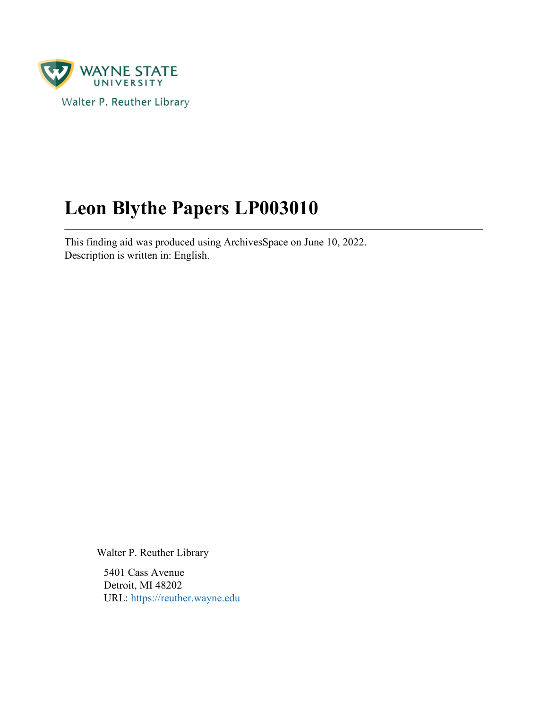

# **Leon Blythe Papers LP003010**

This finding aid was produced using ArchivesSpace on June 10, 2022. Description is written in: English.

Walter P. Reuther Library

5401 Cass Avenue Detroit, MI 48202 URL:<https://reuther.wayne.edu>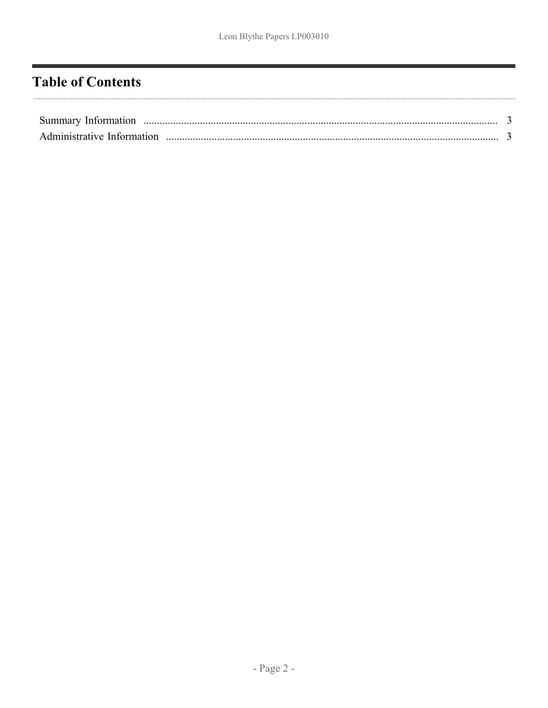# <span id="page-1-0"></span>**Table of Contents**

| Summary Information        |  |
|----------------------------|--|
| Administrative Information |  |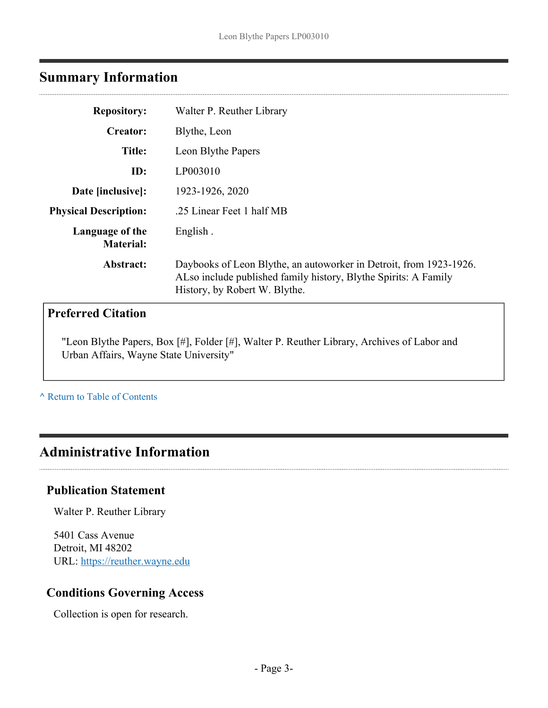# <span id="page-2-0"></span>**Summary Information**

| <b>Repository:</b>                  | Walter P. Reuther Library                                                                                                                                              |
|-------------------------------------|------------------------------------------------------------------------------------------------------------------------------------------------------------------------|
| <b>Creator:</b>                     | Blythe, Leon                                                                                                                                                           |
| Title:                              | Leon Blythe Papers                                                                                                                                                     |
| ID:                                 | LP003010                                                                                                                                                               |
| Date [inclusive]:                   | 1923-1926, 2020                                                                                                                                                        |
| <b>Physical Description:</b>        | .25 Linear Feet 1 half MB                                                                                                                                              |
| Language of the<br><b>Material:</b> | English.                                                                                                                                                               |
| Abstract:                           | Daybooks of Leon Blythe, an autoworker in Detroit, from 1923-1926.<br>ALso include published family history, Blythe Spirits: A Family<br>History, by Robert W. Blythe. |
| <b>Preferred Citation</b>           |                                                                                                                                                                        |

"Leon Blythe Papers, Box [#], Folder [#], Walter P. Reuther Library, Archives of Labor and Urban Affairs, Wayne State University"

**^** [Return to Table of Contents](#page-1-0)

## <span id="page-2-1"></span>**Administrative Information**

#### **Publication Statement**

Walter P. Reuther Library

5401 Cass Avenue Detroit, MI 48202 URL:<https://reuther.wayne.edu>

## **Conditions Governing Access**

Collection is open for research.